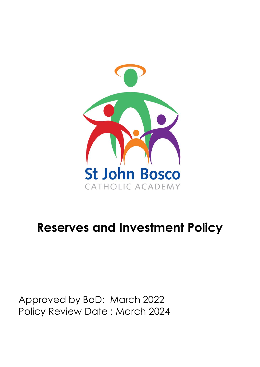

# **Reserves and Investment Policy**

Approved by BoD: March 2022 Policy Review Date : March 2024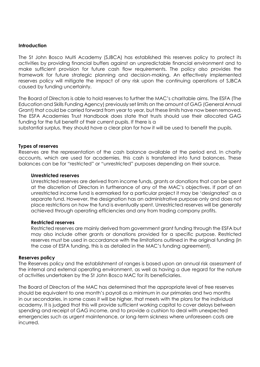#### **Introduction**

The St John Bosco Multi Academy (SJBCA) has established this reserves policy to protect its activities by providing financial buffers against an unpredictable financial environment and to make sufficient provision for future cash flow requirements. The policy also provides the framework for future strategic planning and decision-making. An effectively implemented reserves policy will mitigate the impact of any risk upon the continuing operations of SJBCA caused by funding uncertainty.

The Board of Directors is able to hold reserves to further the MAC's charitable aims. The ESFA (The Education and Skills Funding Agency) previously set limits on the amount of GAG (General Annual Grant) that could be carried forward from year to year, but these limits have now been removed. The ESFA Academies Trust Handbook does state that trusts should use their allocated GAG funding for the full benefit of their current pupils. If there is a

substantial surplus, they should have a clear plan for how it will be used to benefit the pupils.

#### **Types of reserves**

Reserves are the representation of the cash balance available at the period end. In charity accounts, which are used for academies, this cash is transferred into fund balances. These balances can be for "restricted" or "unrestricted" purposes depending on their source.

#### **Unrestricted reserves**

Unrestricted reserves are derived from income funds, grants or donations that can be spent at the discretion of Directors in furtherance of any of the MAC's objectives. If part of an unrestricted income fund is earmarked for a particular project it may be 'designated' as a separate fund. However, the designation has an administrative purpose only and does not place restrictions on how the fund is eventually spent. Unrestricted reserves will be generally achieved through operating efficiencies and any from trading company profits.

#### **Restricted reserves**

Restricted reserves are mainly derived from government grant funding through the ESFA but may also include other grants or donations provided for a specific purpose. Restricted reserves must be used in accordance with the limitations outlined in the original funding (in the case of ESFA funding, this is as detailed in the MAC's funding agreement).

#### **Reserves policy**

The Reserves policy and the establishment of ranges is based upon an annual risk assessment of the internal and external operating environment, as well as having a due regard for the nature of activities undertaken by the St John Bosco MAC for its beneficiaries.

The Board of Directors of the MAC has determined that the appropriate level of free reserves should be equivalent to one month's payroll as a minimum in our primaries and two months in our secondaries, in some cases it will be higher, that meets with the plans for the individual academy. It is judged that this will provide sufficient working capital to cover delays between spending and receipt of GAG income, and to provide a cushion to deal with unexpected emergencies such as urgent maintenance, or long-term sickness where unforeseen costs are incurred.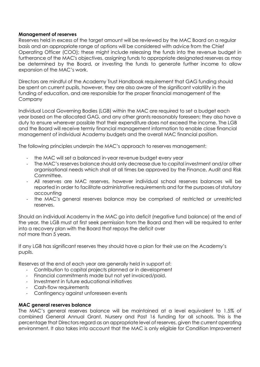# **Management of reserves**

Reserves held in excess of the target amount will be reviewed by the MAC Board on a regular basis and an appropriate range of options will be considered with advice from the Chief Operating Officer (COO); these might include releasing the funds into the revenue budget in furtherance of the MAC's objectives, assigning funds to appropriate designated reserves as may be determined by the Board, or investing the funds to generate further income to allow expansion of the MAC's work.

Directors are mindful of the Academy Trust Handbook requirement that GAG funding should be spent on current pupils, however, they are also aware of the significant volatility in the funding of education, and are responsible for the proper financial management of the Company

Individual Local Governing Bodies (LGB) within the MAC are required to set a budget each year based on the allocated GAG, and any other grants reasonably foreseen; they also have a duty to ensure wherever possible that their expenditure does not exceed the income. The LGB and the Board will receive termly financial management information to enable close financial management of individual Academy budgets and the overall MAC financial position.

The following principles underpin the MAC's approach to reserves management:

- the MAC will set a balanced in-year revenue budget every year
- The MAC's reserves balance should only decrease due to capital investment and/or other organisational needs which shall at all times be approved by the Finance, Audit and Risk Committee.
- All reserves are MAC reserves, however individual school reserves balances will be reported in order to facilitate administrative requirements and for the purposes of statutory accounting
- the MAC's general reserves balance may be comprised of restricted or unrestricted reserves.

Should an individual Academy in the MAC go into deficit (negative fund balance) at the end of the year, the LGB must at first seek permission from the Board and then will be required to enter into a recovery plan with the Board that repays the deficit over not more than 5 years.

If any LGB has significant reserves they should have a plan for their use on the Academy's pupils.

Reserves at the end of each year are generally held in support of:

- Contribution to capital projects planned or in development
- Financial commitments made but not yet invoiced/paid.
- Investment in future educational initiatives
- Cash-flow requirements
- Contingency against unforeseen events

## **MAC general reserves balance**

The MAC's general reserves balance will be maintained at a level equivalent to 1.5% of combined General Annual Grant, Nursery and Post 16 funding for all schools. This is the percentage that Directors regard as an appropriate level of reserves, given the current operating environment. It also takes into account that the MAC is only eligible for Condition Improvement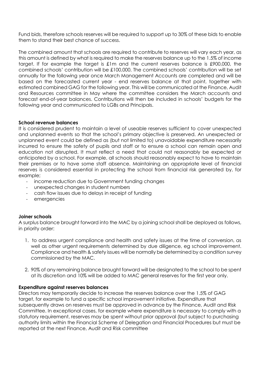Fund bids, therefore schools reserves will be required to support up to 30% of these bids to enable them to stand their best chance of success.

The combined amount that schools are required to contribute to reserves will vary each year, as this amount is defined by what is required to make the reserves balance up to the 1.5% of income target. If for example the target is £1m and the current reserves balance is £900,000, the combined schools' contribution will be £100,000. The combined schools' contribution will be set annually for the following year once March Management Accounts are completed and will be based on the forecasted current year - end reserves balance at that point, together with estimated combined GAG for the following year. This will be communicated at the Finance, Audit and Resources committee in May where the committee considers the March accounts and forecast end-of-year balances. Contributions will then be included in schools' budgets for the following year and communicated to LGBs and Principals.

# **School revenue balances**

It is considered prudent to maintain a level of useable reserves sufficient to cover unexpected and unplanned events so that the school's primary objective is preserved. An unexpected or unplanned event could be defined as (but not limited to) unavoidable expenditure necessarily incurred to ensure the safety of pupils and staff or to ensure a school can remain open and education not disrupted. It must reflect a need that could not reasonably be expected or anticipated by a school. For example, all schools should reasonably expect to have to maintain their premises or to have some staff absence. Maintaining an appropriate level of financial reserves is considered essential in protecting the school from financial risk generated by, for example;

- income reduction due to Government funding changes
- unexpected changes in student numbers
- cash flow issues due to delays in receipt of funding
- emergencies

## **Joiner schools**

A surplus balance brought forward into the MAC by a joining school shall be deployed as follows, in priority order:

- 1. to address urgent compliance and health and safety issues at the time of conversion, as well as other urgent requirements determined by due diligence, eg school improvement. Compliance and health & safety issues will be normally be determined by a condition survey commissioned by the MAC.
- 2. 90% of any remaining balance brought forward will be designated to the school to be spent at its discretion and 10% will be added to MAC general reserves for the first year only.

## **Expenditure against reserves balances**

Directors may temporarily decide to increase the reserves balance over the 1.5% of GAG target, for example to fund a specific school improvement initiative. Expenditure that subsequently draws on reserves must be approved in advance by the Finance, Audit and Risk Committee. In exceptional cases, for example where expenditure is necessary to comply with a statutory requirement, reserves may be spent without prior approval (but subject to purchasing authority limits within the Financial Scheme of Delegation and Financial Procedures but must be reported at the next Finance, Audit and Risk committee